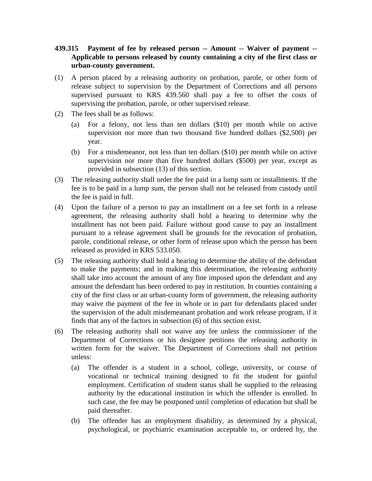## **439.315 Payment of fee by released person -- Amount -- Waiver of payment -- Applicable to persons released by county containing a city of the first class or urban-county government.**

- (1) A person placed by a releasing authority on probation, parole, or other form of release subject to supervision by the Department of Corrections and all persons supervised pursuant to KRS 439.560 shall pay a fee to offset the costs of supervising the probation, parole, or other supervised release.
- (2) The fees shall be as follows:
	- (a) For a felony, not less than ten dollars (\$10) per month while on active supervision nor more than two thousand five hundred dollars (\$2,500) per year.
	- (b) For a misdemeanor, not less than ten dollars (\$10) per month while on active supervision nor more than five hundred dollars (\$500) per year, except as provided in subsection (13) of this section.
- (3) The releasing authority shall order the fee paid in a lump sum or installments. If the fee is to be paid in a lump sum, the person shall not be released from custody until the fee is paid in full.
- (4) Upon the failure of a person to pay an installment on a fee set forth in a release agreement, the releasing authority shall hold a hearing to determine why the installment has not been paid. Failure without good cause to pay an installment pursuant to a release agreement shall be grounds for the revocation of probation, parole, conditional release, or other form of release upon which the person has been released as provided in KRS 533.050.
- (5) The releasing authority shall hold a hearing to determine the ability of the defendant to make the payments; and in making this determination, the releasing authority shall take into account the amount of any fine imposed upon the defendant and any amount the defendant has been ordered to pay in restitution. In counties containing a city of the first class or an urban-county form of government, the releasing authority may waive the payment of the fee in whole or in part for defendants placed under the supervision of the adult misdemeanant probation and work release program, if it finds that any of the factors in subsection (6) of this section exist.
- (6) The releasing authority shall not waive any fee unless the commissioner of the Department of Corrections or his designee petitions the releasing authority in written form for the waiver. The Department of Corrections shall not petition unless:
	- (a) The offender is a student in a school, college, university, or course of vocational or technical training designed to fit the student for gainful employment. Certification of student status shall be supplied to the releasing authority by the educational institution in which the offender is enrolled. In such case, the fee may be postponed until completion of education but shall be paid thereafter.
	- (b) The offender has an employment disability, as determined by a physical, psychological, or psychiatric examination acceptable to, or ordered by, the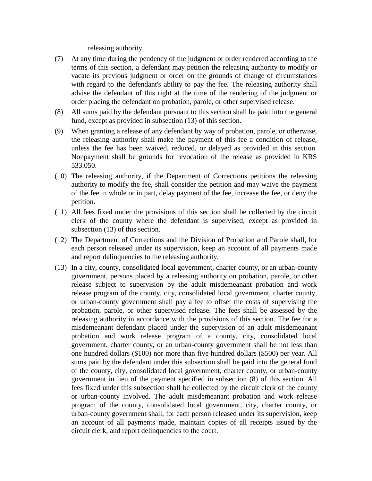releasing authority.

- (7) At any time during the pendency of the judgment or order rendered according to the terms of this section, a defendant may petition the releasing authority to modify or vacate its previous judgment or order on the grounds of change of circumstances with regard to the defendant's ability to pay the fee. The releasing authority shall advise the defendant of this right at the time of the rendering of the judgment or order placing the defendant on probation, parole, or other supervised release.
- (8) All sums paid by the defendant pursuant to this section shall be paid into the general fund, except as provided in subsection (13) of this section.
- (9) When granting a release of any defendant by way of probation, parole, or otherwise, the releasing authority shall make the payment of this fee a condition of release, unless the fee has been waived, reduced, or delayed as provided in this section. Nonpayment shall be grounds for revocation of the release as provided in KRS 533.050.
- (10) The releasing authority, if the Department of Corrections petitions the releasing authority to modify the fee, shall consider the petition and may waive the payment of the fee in whole or in part, delay payment of the fee, increase the fee, or deny the petition.
- (11) All fees fixed under the provisions of this section shall be collected by the circuit clerk of the county where the defendant is supervised, except as provided in subsection (13) of this section.
- (12) The Department of Corrections and the Division of Probation and Parole shall, for each person released under its supervision, keep an account of all payments made and report delinquencies to the releasing authority.
- (13) In a city, county, consolidated local government, charter county, or an urban-county government, persons placed by a releasing authority on probation, parole, or other release subject to supervision by the adult misdemeanant probation and work release program of the county, city, consolidated local government, charter county, or urban-county government shall pay a fee to offset the costs of supervising the probation, parole, or other supervised release. The fees shall be assessed by the releasing authority in accordance with the provisions of this section. The fee for a misdemeanant defendant placed under the supervision of an adult misdemeanant probation and work release program of a county, city, consolidated local government, charter county, or an urban-county government shall be not less than one hundred dollars (\$100) nor more than five hundred dollars (\$500) per year. All sums paid by the defendant under this subsection shall be paid into the general fund of the county, city, consolidated local government, charter county, or urban-county government in lieu of the payment specified in subsection (8) of this section. All fees fixed under this subsection shall be collected by the circuit clerk of the county or urban-county involved. The adult misdemeanant probation and work release program of the county, consolidated local government, city, charter county, or urban-county government shall, for each person released under its supervision, keep an account of all payments made, maintain copies of all receipts issued by the circuit clerk, and report delinquencies to the court.